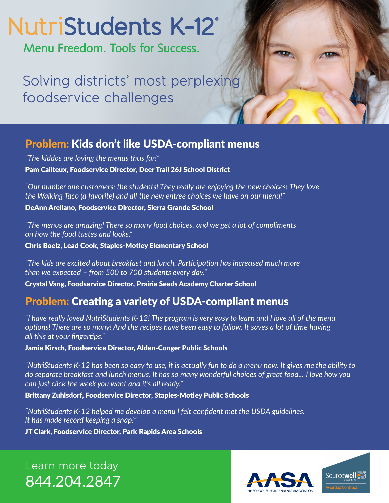# NutriStudents K-12°

Menu Freedom, Tools for Success.

Solving districts' most perplexing foodservice challenges

### Problem: Kids don't like USDA-compliant menus

*"The kiddos are loving the menus thus far!"*  Pam Cailteux, Foodservice Director, Deer Trail 26J School District

*"Our number one customers: the students! They really are enjoying the new choices! They love the Walking Taco (a favorite) and all the new entree choices we have on our menu!"* 

DeAnn Arellano, Foodservice Director, Sierra Grande School

*"The menus are amazing! There so many food choices, and we get a lot of compliments on how the food tastes and looks."* 

Chris Boelz, Lead Cook, Staples-Motley Elementary School

*"The kids are excited about breakfast and lunch. Participation has increased much more than we expected – from 500 to 700 students every day."* 

Crystal Vang, Foodservice Director, Prairie Seeds Academy Charter School

## Problem: Creating a variety of USDA-compliant menus

*"I have really loved NutriStudents K-12! The program is very easy to learn and I love all of the menu options! There are so many! And the recipes have been easy to follow. It saves a lot of time having all this at your fingertips."*

Jamie Kirsch, Foodservice Director, Alden-Conger Public Schools

*"NutriStudents K-12 has been so easy to use, it is actually fun to do a menu now. It gives me the ability to do separate breakfast and lunch menus. It has so many wonderful choices of great food... I love how you can just click the week you want and it's all ready."*

#### Brittany Zuhlsdorf, Foodservice Director, Staples-Motley Public Schools

*"NutriStudents K-12 helped me develop a menu I felt confident met the USDA guidelines. It has made record keeping a snap!"* 

JT Clark, Foodservice Director, Park Rapids Area Schools

Learn more today 844.204.2847